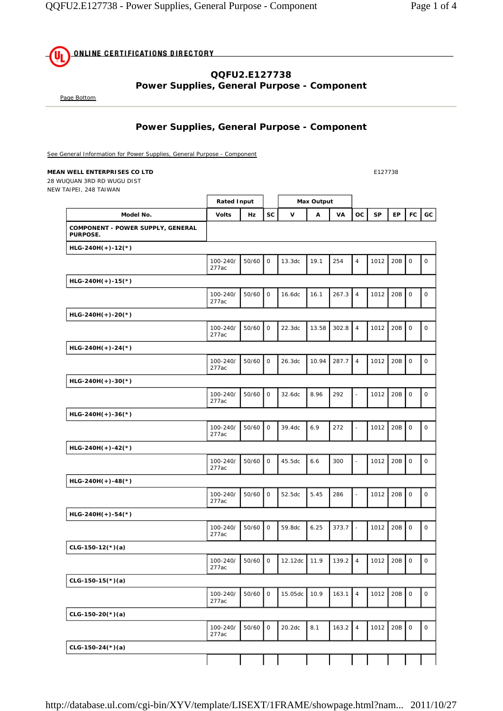**ONLINE CERTIFICATIONS DIRECTORY** ሙ

## **QQFU2.E127738 Power Supplies, General Purpose - Component**

Page Bottom

### **Power Supplies, General Purpose - Component**

See General Information for Power Supplies, General Purpose - Component

#### **MEAN WELL ENTERPRISES CO LTD E127738**

28 WUQUAN 3RD RD WUGU DIST NEW TAIPEI, 248 TAIWAN

|                                               | <b>Rated Input</b> |       |                     | <b>Max Output</b> |       |       |                          |           |           |                     |                     |
|-----------------------------------------------|--------------------|-------|---------------------|-------------------|-------|-------|--------------------------|-----------|-----------|---------------------|---------------------|
| Model No.                                     | Volts              | Hz    | <b>SC</b>           | V                 | A     | VA    | <b>OC</b>                | <b>SP</b> | <b>EP</b> | <b>FC</b>           | GC                  |
| COMPONENT - POWER SUPPLY, GENERAL<br>PURPOSE. |                    |       |                     |                   |       |       |                          |           |           |                     |                     |
| $HLG-24OH(+)-12(*)$                           |                    |       |                     |                   |       |       |                          |           |           |                     |                     |
|                                               | 100-240/<br>277ac  | 50/60 | $\mathsf O$         | 13.3dc            | 19.1  | 254   | $\overline{4}$           | 1012      | 20B       | $\mathsf O$         | $\mathbf 0$         |
| $HLG-240H(+)-15(*)$                           |                    |       |                     |                   |       |       |                          |           |           |                     |                     |
|                                               | 100-240/<br>277ac  | 50/60 | $\mathsf O$         | 16.6dc            | 16.1  | 267.3 | $\overline{4}$           | 1012      | 20B       | $\mathbf 0$         | 0                   |
| $HLG-240H(+)-20(*)$                           |                    |       |                     |                   |       |       |                          |           |           |                     |                     |
|                                               | 100-240/<br>277ac  | 50/60 | $\mathsf O$         | 22.3dc            | 13.58 | 302.8 | $\overline{4}$           | 1012      | 20B       | 0                   | $\mathsf O$         |
| $HLG-24OH(+)-24(*)$                           |                    |       |                     |                   |       |       |                          |           |           |                     |                     |
|                                               | 100-240/<br>277ac  | 50/60 | $\mathbf 0$         | 26.3dc            | 10.94 | 287.7 | $\overline{4}$           | 1012      | 20B       | $\mathsf O$         | $\mathbf 0$         |
| $HLG-24OH(+)-30(*)$                           |                    |       |                     |                   |       |       |                          |           |           |                     |                     |
|                                               | 100-240/<br>277ac  | 50/60 | $\mathsf O$         | 32.6dc            | 8.96  | 292   | ÷,                       | 1012      | 20B       | $\mathsf O$         | $\mathsf{O}\xspace$ |
| $HLG-24OH(+)-36(*)$                           |                    |       |                     |                   |       |       |                          |           |           |                     |                     |
|                                               | 100-240/<br>277ac  | 50/60 | $\mathsf O$         | 39.4dc            | 6.9   | 272   | $\overline{\phantom{a}}$ | 1012      | 20B       | $\mathsf O$         | $\mathsf O$         |
| $HLG-240H(+)-42(*)$                           |                    |       |                     |                   |       |       |                          |           |           |                     |                     |
|                                               | 100-240/<br>277ac  | 50/60 | $\mathsf O$         | 45.5dc            | 6.6   | 300   | $\blacksquare$           | 1012      | 20B       | $\mathsf{O}$        | $\mathsf O$         |
| $HLG-24OH(+)-48(*)$                           |                    |       |                     |                   |       |       |                          |           |           |                     |                     |
|                                               | 100-240/<br>277ac  | 50/60 | $\mathsf O$         | 52.5dc            | 5.45  | 286   | $\overline{\phantom{a}}$ | 1012      | 20B       | $\mathsf O$         | $\mathsf O$         |
| $HLG-24OH(+)-54(*)$                           |                    |       |                     |                   |       |       |                          |           |           |                     |                     |
|                                               | 100-240/<br>277ac  | 50/60 | $\mathsf O$         | 59.8dc            | 6.25  | 373.7 | $\sim$                   | 1012      | 20B       | $\mathsf{O}$        | 0                   |
| $CLG-150-12(*)$ (a)                           |                    |       |                     |                   |       |       |                          |           |           |                     |                     |
|                                               | 100-240/<br>277ac  | 50/60 | $\mathsf O$         | 12.12dc           | 11.9  | 139.2 | $\overline{4}$           | 1012      | 20B       | $\mathsf O$         | $\mathsf{O}\xspace$ |
| $CLG-150-15(*)$ (a)                           |                    |       |                     |                   |       |       |                          |           |           |                     |                     |
|                                               | 100-240/<br>277ac  | 50/60 | $\mathsf{O}\xspace$ | 15.05dc           | 10.9  | 163.1 | $\overline{4}$           | 1012      | 20B       | $\mathsf O$         | $\mathsf{O}\xspace$ |
| $CLG-150-20(*)$ (a)                           |                    |       |                     |                   |       |       |                          |           |           |                     |                     |
|                                               | 100-240/<br>277ac  | 50/60 | $\mathsf{O}$        | 20.2dc            | 8.1   | 163.2 | $\overline{4}$           | 1012      | 20B       | $\mathsf{O}\xspace$ | $\mathsf{O}\xspace$ |
| $CLG-150-24(*)$ (a)                           |                    |       |                     |                   |       |       |                          |           |           |                     |                     |
|                                               |                    |       |                     |                   |       |       |                          |           |           |                     |                     |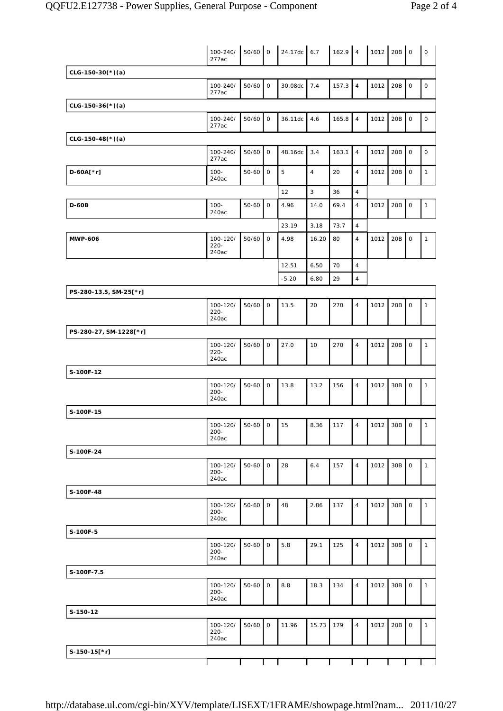|                        | 100-240/<br>277ac            | $50/60$ 0 |             | $24.17dc$ 6.7 |                | $162.9$ 4 |                | $1012$ 20B |     | $\circ$      | $\mathsf O$  |
|------------------------|------------------------------|-----------|-------------|---------------|----------------|-----------|----------------|------------|-----|--------------|--------------|
| $CLG-150-30(*)$ (a)    |                              |           |             |               |                |           |                |            |     |              |              |
|                        | 100-240/<br>277ac            | 50/60     | $\mathsf O$ | 30.08dc       | 7.4            | 157.3     | $\overline{4}$ | 1012       | 20B | $\mathsf O$  | $\mathsf O$  |
| $CLG-150-36(*)$ (a)    |                              |           |             |               |                |           |                |            |     |              |              |
|                        | 100-240/<br>277ac            | 50/60     | $\mathsf O$ | 36.11dc       | 4.6            | 165.8     | $\overline{4}$ | 1012       | 20B | $\mathsf O$  | $\mathsf O$  |
| $CLG-150-48(*)$ (a)    |                              |           |             |               |                |           |                |            |     |              |              |
|                        | 100-240/<br>277ac            | 50/60     | $\mathsf O$ | 48.16dc       | 3.4            | 163.1     | $\overline{4}$ | 1012       | 20B | $\mathsf O$  | $\mathsf O$  |
| D-60A[*r]              | $100 -$<br>240ac             | $50 - 60$ | $\mathsf O$ | 5             | $\overline{4}$ | 20        | $\overline{4}$ | 1012       | 20B | $\mathsf{O}$ | $\mathbf{1}$ |
|                        |                              |           |             | 12            | 3              | 36        | $\overline{4}$ |            |     |              |              |
| <b>D-60B</b>           | $100 -$<br>240ac             | $50 - 60$ | $\mathsf O$ | 4.96          | 14.0           | 69.4      | $\overline{4}$ | 1012       | 20B | $\mathsf{O}$ | $\mathbf{1}$ |
|                        |                              |           |             | 23.19         | 3.18           | 73.7      | $\overline{4}$ |            |     |              |              |
| <b>MWP-606</b>         | 100-120/<br>$220 -$<br>240ac | $50/60$ 0 |             | 4.98          | 16.20          | 80        | $\overline{4}$ | 1012       | 20B | $\mathsf O$  | $\mathbf{1}$ |
|                        |                              |           |             | 12.51         | 6.50           | 70        | $\overline{4}$ |            |     |              |              |
|                        |                              |           |             | $-5.20$       | 6.80           | 29        | $\overline{4}$ |            |     |              |              |
| PS-280-13.5, SM-25[*r] |                              |           |             |               |                |           |                |            |     |              |              |
|                        | 100-120/<br>220-<br>240ac    | 50/60     | $\mathsf O$ | 13.5          | 20             | 270       | $\overline{4}$ | 1012       | 20B | $\mathbf 0$  | $\mathbf{1}$ |
| PS-280-27, SM-1228[*r] |                              |           |             |               |                |           |                |            |     |              |              |
|                        | 100-120/<br>$220 -$<br>240ac | 50/60     | $\mathsf O$ | 27.0          | 10             | 270       | $\overline{4}$ | 1012       | 20B | $\mathsf O$  | $\mathbf{1}$ |
| S-100F-12              |                              |           |             |               |                |           |                |            |     |              |              |
|                        | 100-120/<br>$200 -$<br>240ac | $50 - 60$ | $\mathsf O$ | 13.8          | 13.2           | 156       | $\overline{4}$ | 1012       | 30B | $\mathsf O$  | $\mathbf{1}$ |
| S-100F-15              |                              |           |             |               |                |           |                |            |     |              |              |
|                        | 100-120/<br>200-<br>240ac    | $50-60$ 0 |             | 15            | 8.36           | 117       | 4              | 1012       | 30B | $\circ$      | $\mathbf{1}$ |
| S-100F-24              |                              |           |             |               |                |           |                |            |     |              |              |
|                        | 100-120/<br>$200 -$<br>240ac | $50 - 60$ | $\mathsf O$ | 28            | $6.4$          | 157       | $\overline{4}$ | 1012       | 30B | $\mathsf O$  | $\mathbf{1}$ |
| S-100F-48              |                              |           |             |               |                |           |                |            |     |              |              |
|                        | 100-120/<br>$200 -$<br>240ac | $50 - 60$ | $\mathsf O$ | 48            | 2.86           | 137       | $\overline{4}$ | 1012       | 30B | $\mathsf O$  | $\mathbf{1}$ |
| S-100F-5               |                              |           |             |               |                |           |                |            |     |              |              |
|                        | 100-120/<br>$200 -$<br>240ac | $50-60$   | $\mathsf O$ | 5.8           | 29.1           | 125       | $\overline{4}$ | 1012       | 30B | $\mathsf O$  | $\mathbf{1}$ |
| S-100F-7.5             |                              |           |             |               |                |           |                |            |     |              |              |
|                        | 100-120/<br>200-<br>240ac    | $50-60$   | 0           | 8.8           | 18.3           | 134       | $\overline{4}$ | 1012       | 30B | $\mathsf O$  | $\mathbf{1}$ |
| S-150-12               |                              |           |             |               |                |           |                |            |     |              |              |
|                        | 100-120/<br>$220 -$<br>240ac | 50/60     | $\mathsf O$ | 11.96         | 15.73          | 179       | $\overline{4}$ | 1012       | 20B | $\mathsf O$  | $\mathbf{1}$ |
| S-150-15[*r]           |                              |           |             |               |                |           |                |            |     |              |              |
|                        |                              |           |             |               |                |           |                |            |     |              |              |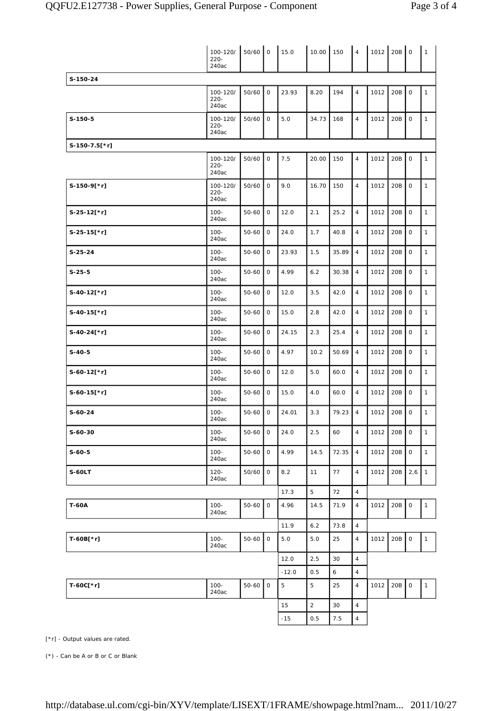|                | 100-120/<br>$220 -$<br>240ac | $50/60$ 0 |             | 15.0            | 10.00          | 150     | $\overline{4}$                   | 1012 | 20B | $\mathbf 0$  | $\mathbf{1}$ |
|----------------|------------------------------|-----------|-------------|-----------------|----------------|---------|----------------------------------|------|-----|--------------|--------------|
| S-150-24       |                              |           |             |                 |                |         |                                  |      |     |              |              |
|                | 100-120/<br>$220 -$<br>240ac | 50/60     | $\mathbf 0$ | 23.93           | 8.20           | 194     | $\overline{4}$                   | 1012 | 20B | $\circ$      | $\mathbf{1}$ |
| $S-150-5$      | 100-120/<br>220-<br>240ac    | 50/60     | $\mathbf 0$ | 5.0             | 34.73          | 168     | $\overline{4}$                   | 1012 | 20B | $\circ$      | $\mathbf{1}$ |
| S-150-7.5[*r]  |                              |           |             |                 |                |         |                                  |      |     |              |              |
|                | 100-120/<br>$220 -$<br>240ac | 50/60     | $\mathsf O$ | 7.5             | 20.00          | 150     | $\overline{4}$                   | 1012 | 20B | $\mathsf O$  | $\mathbf{1}$ |
| $S-150-9$ [*r] | 100-120/<br>$220 -$<br>240ac | 50/60     | 0           | 9.0             | 16.70          | 150     | $\overline{4}$                   | 1012 | 20B | $\mathsf{O}$ | $\mathbf{1}$ |
| $S-25-12[*r]$  | $100 -$<br>240ac             | 50-60     | $\mathbf 0$ | 12.0            | 2.1            | 25.2    | $\overline{4}$                   | 1012 | 20B | $\mathbf 0$  | $\mathbf{1}$ |
| $S-25-15$ [*r] | $100 -$<br>240ac             | $50 - 60$ | $\mathbf 0$ | 24.0            | 1.7            | 40.8    | $\overline{4}$                   | 1012 | 20B | $\mathsf{O}$ | $\mathbf{1}$ |
| $S-25-24$      | $100 -$<br>240ac             | $50 - 60$ | $\mathbf 0$ | 23.93           | 1.5            | 35.89   | $\overline{4}$                   | 1012 | 20B | $\mathbf 0$  | $\mathbf{1}$ |
| $S-25-5$       | $100 -$<br>240ac             | $50 - 60$ | 0           | 4.99            | 6.2            | 30.38   | $\overline{4}$                   | 1012 | 20B | $\mathsf{O}$ | $\mathbf{1}$ |
| $S-40-12$ [*r] | $100 -$<br>240ac             | $50 - 60$ | 0           | 12.0            | 3.5            | 42.0    | $\overline{4}$                   | 1012 | 20B | $\mathbf 0$  | $\mathbf{1}$ |
| $S-40-15$ [*r] | $100 -$<br>240ac             | $50 - 60$ | 0           | 15.0            | 2.8            | 42.0    | $\overline{4}$                   | 1012 | 20B | $\mathsf{O}$ | $\mathbf{1}$ |
| $S-40-24$ [*r] | $100 -$<br>240ac             | 50-60     | $\mathbf 0$ | 24.15           | 2.3            | 25.4    | $\overline{4}$                   | 1012 | 20B | $\mathsf{O}$ | $\mathbf{1}$ |
| $S-40-5$       | $100 -$<br>240ac             | $50 - 60$ | $\mathbf 0$ | 4.97            | 10.2           | 50.69   | $\overline{4}$                   | 1012 | 20B | $\mathsf{O}$ | $\mathbf{1}$ |
| $S-60-12[*r]$  | $100 -$<br>240ac             | $50 - 60$ | $\mathbf 0$ | 12.0            | 5.0            | 60.0    | $\overline{4}$                   | 1012 | 20B | $\circ$      | $\mathbf{1}$ |
| $S-60-15$ [*r] | $100 -$<br>240ac             | 50-60     | 0           | 15.0            | 4.0            | 60.0    | $\overline{4}$                   | 1012 | 20B | $\circ$      | $\mathbf{1}$ |
| $S-60-24$      | $100 -$<br>240ac             | 50-60     | 0           | 24.01           | 3.3            | 79.23   | $\overline{4}$                   | 1012 | 20B | $\mathsf O$  | $\mathbf{1}$ |
| $S-60-30$      | $100 -$<br>240ac             | $50 - 60$ | $\mathsf O$ | 24.0            | 2.5            | 60      | $\overline{4}$                   | 1012 | 20B | $\mathsf O$  | $\mathbf{1}$ |
| $S-60-5$       | $100 -$<br>240ac             | 50-60     | 0           | 4.99            | 14.5           | 72.35   | $\overline{4}$                   | 1012 | 20B | $\mathsf O$  | $\mathbf{1}$ |
| <b>S-60LT</b>  | $120 -$<br>240ac             | 50/60     | 0           | 8.2             | 11             | 77      | $\overline{4}$                   | 1012 | 20B | 2,6          | $\mathbf{1}$ |
|                |                              |           |             | 17.3            | 5              | 72      | $\overline{4}$                   |      |     |              |              |
| <b>T-60A</b>   | $100 -$<br>240ac             | 50-60     | 0           | 4.96            | 14.5           | 71.9    | $\overline{4}$                   | 1012 | 20B | $\mathsf O$  | $\mathbf{1}$ |
|                |                              |           |             | 11.9            | 6.2            | 73.8    | $\overline{4}$                   |      |     |              |              |
| T-60B[*r]      | $100 -$<br>240ac             | $50 - 60$ | $\mathsf O$ | 5.0             | 5.0            | 25      | $\overline{4}$                   | 1012 | 20B | $\mathsf O$  | $\mathbf{1}$ |
|                |                              |           |             | 12.0<br>$-12.0$ | 2.5<br>0.5     | 30<br>6 | $\overline{4}$<br>$\overline{4}$ |      |     |              |              |
| T-60C[*r]      | $100 -$<br>240ac             | 50-60     | $\mathsf O$ | $\overline{5}$  | 5              | 25      | $\overline{4}$                   | 1012 | 20B | $\mathsf O$  | $\mathbf{1}$ |
|                |                              |           |             | 15              | $\overline{2}$ | 30      | $\overline{4}$                   |      |     |              |              |
|                |                              |           |             | $-15$           | 0.5            | 7.5     | $\overline{4}$                   |      |     |              |              |

[\*r] - Output values are rated.

(\*) - Can be A or B or C or Blank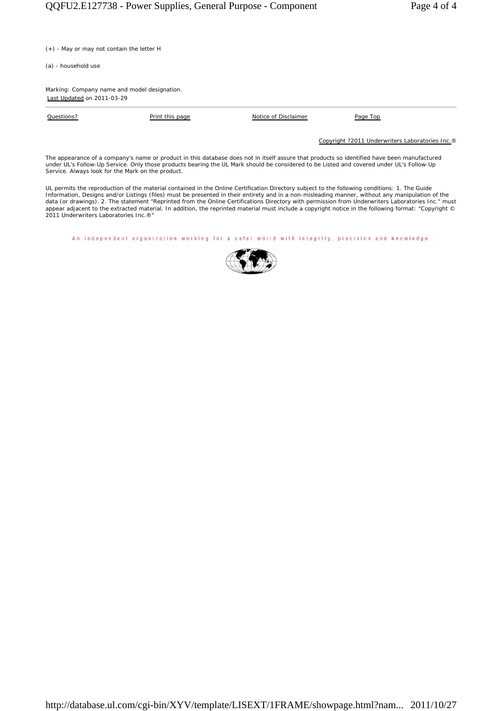(+) - May or may not contain the letter H

(a) - household use

Marking: Company name and model designation. Last Updated on 2011-03-29

Questions? **Print this page Notice of Disclaimer** Page Top Page Top

Copyright ?2011 Underwriters Laboratories Inc.®

The appearance of a company's name or product in this database does not in itself assure that products so identified have been manufactured<br>under UL's Follow-Up Service. Only those products bearing the UL Mark should be co Service. Always look for the Mark on the product.

UL permits the reproduction of the material contained in the Online Certification Directory subject to the following conditions: 1. The Guide<br>Information, Designs and/or Listings (files) must be presented in their entirety appear adjacent to the extracted material. In addition, the reprinted material must include a copyright notice in the following format: "Copyright © 2011 Underwriters Laboratories Inc.®"

An independent organization working for a safer world with integrity, precision and knowledge.

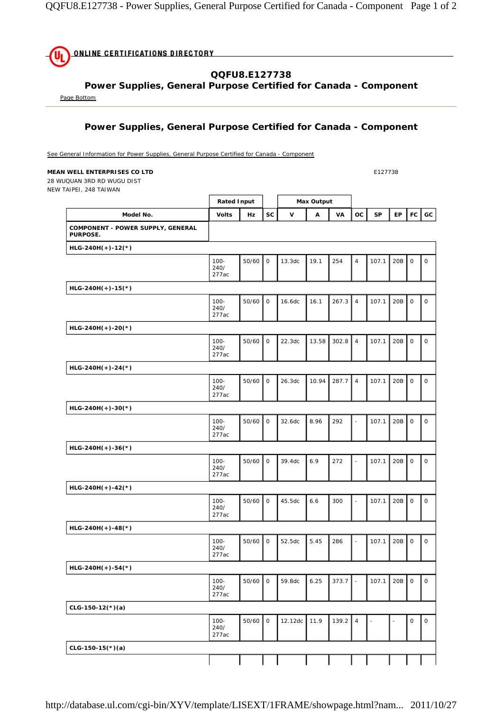

### **Power Supplies, General Purpose Certified for Canada - Component**

Page Bottom

# **Power Supplies, General Purpose Certified for Canada - Component**

See General Information for Power Supplies, General Purpose Certified for Canada - Component

#### **MEAN WELL ENTERPRISES CO LTD E127738**

28 WUQUAN 3RD RD WUGU DIST NEW TAIPEI, 248 TAIWAN

|                                                      | <b>Rated Input</b>       |       |             | <b>Max Output</b> |       |       |                          |       |           |             |                     |
|------------------------------------------------------|--------------------------|-------|-------------|-------------------|-------|-------|--------------------------|-------|-----------|-------------|---------------------|
| Model No.                                            | <b>Volts</b>             | Hz    | <b>SC</b>   | $\mathsf{v}$      | Α     | VA    | ОC                       | SP    | <b>EP</b> | FC          | GC                  |
| COMPONENT - POWER SUPPLY, GENERAL<br><b>PURPOSE.</b> |                          |       |             |                   |       |       |                          |       |           |             |                     |
| $HLG-240H(+)-12(*)$                                  |                          |       |             |                   |       |       |                          |       |           |             |                     |
|                                                      | $100 -$<br>240/<br>277ac | 50/60 | $\mathbf 0$ | 13.3dc            | 19.1  | 254   | $\overline{4}$           | 107.1 | 20B       | $\mathsf O$ | $\mathsf O$         |
| $HLG-240H(+)-15(*)$                                  |                          |       |             |                   |       |       |                          |       |           |             |                     |
|                                                      | $100 -$<br>240/<br>277ac | 50/60 | $\mathbf 0$ | 16.6dc            | 16.1  | 267.3 | $\overline{4}$           | 107.1 | 20B       | $\mathsf O$ | $\mathbf 0$         |
| $HLG-24OH(+)-20(*)$                                  |                          |       |             |                   |       |       |                          |       |           |             |                     |
|                                                      | $100 -$<br>240/<br>277ac | 50/60 | $\mathbf 0$ | 22.3dc            | 13.58 | 302.8 | $\overline{4}$           | 107.1 | 20B       | $\mathsf O$ | $\mathbf 0$         |
| $HLG-240H(+)-24(*)$                                  |                          |       |             |                   |       |       |                          |       |           |             |                     |
|                                                      | $100 -$<br>240/<br>277ac | 50/60 | $\mathsf O$ | 26.3dc            | 10.94 | 287.7 | $\overline{4}$           | 107.1 | 20B       | $\mathsf O$ | $\mathsf O$         |
| HLG-240H(+)-30(*)                                    |                          |       |             |                   |       |       |                          |       |           |             |                     |
|                                                      | $100 -$<br>240/<br>277ac | 50/60 | $\mathsf O$ | 32.6dc            | 8.96  | 292   | $\overline{\phantom{a}}$ | 107.1 | 20B       | $\mathsf O$ | $\mathsf O$         |
| $HLG-24OH(+)-36(*)$                                  |                          |       |             |                   |       |       |                          |       |           |             |                     |
|                                                      | $100 -$<br>240/<br>277ac | 50/60 | $\mathsf O$ | 39.4dc            | 6.9   | 272   | ÷,                       | 107.1 | 20B       | $\mathsf O$ | $\mathsf O$         |
| $HLG-24OH(+)-42(*)$                                  |                          |       |             |                   |       |       |                          |       |           |             |                     |
|                                                      | $100 -$<br>240/<br>277ac | 50/60 | $\mathbf 0$ | 45.5dc            | 6.6   | 300   | ÷,                       | 107.1 | 20B       | $\mathsf O$ | $\mathsf{O}\xspace$ |
| HLG-240H(+)-48(*)                                    |                          |       |             |                   |       |       |                          |       |           |             |                     |
|                                                      | $100 -$<br>240/<br>277ac | 50/60 | $\mathbf 0$ | 52.5dc            | 5.45  | 286   | $\overline{\phantom{a}}$ | 107.1 | 20B       | $\mathsf O$ | $\mathsf O$         |
| $HLG-24OH(+)-54(*)$                                  |                          |       |             |                   |       |       |                          |       |           |             |                     |
|                                                      | $100 -$<br>240/<br>277ac | 50/60 | $\circ$     | 59.8dc            | 6.25  | 373.7 | $\overline{a}$           | 107.1 | 20B       | $\mathsf O$ | $\mathsf O$         |
| $CLG-150-12(*)$ (a)                                  |                          |       |             |                   |       |       |                          |       |           |             |                     |
|                                                      | $100 -$<br>240/<br>277ac | 50/60 | $\mathsf O$ | 12.12dc           | 11.9  | 139.2 | $\overline{4}$           |       |           | $\mathsf O$ | $\mathsf O$         |
| $CLG-150-15(*)$ (a)                                  |                          |       |             |                   |       |       |                          |       |           |             |                     |
|                                                      |                          |       |             |                   |       |       |                          |       |           |             |                     |